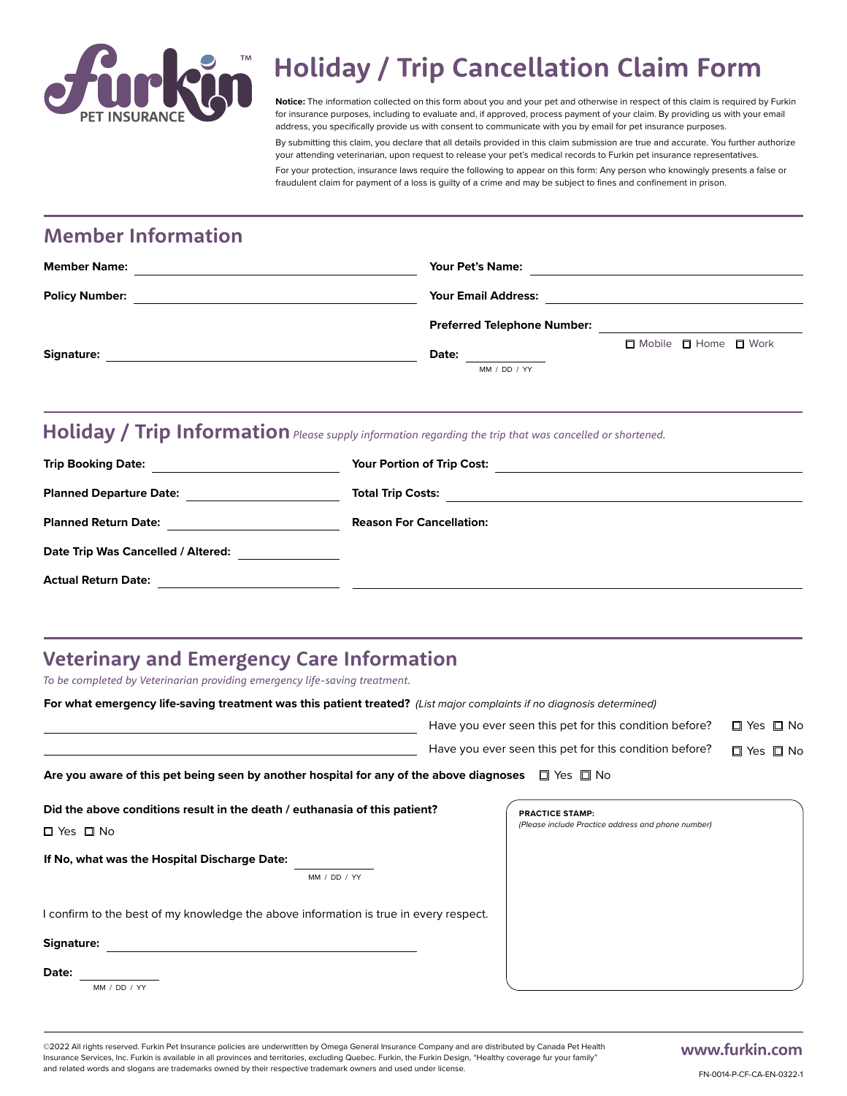

# **Holiday / Trip Cancellation Claim Form**

**Notice:** The information collected on this form about you and your pet and otherwise in respect of this claim is required by Furkin for insurance purposes, including to evaluate and, if approved, process payment of your claim. By providing us with your email address, you specifically provide us with consent to communicate with you by email for pet insurance purposes.

By submitting this claim, you declare that all details provided in this claim submission are true and accurate. You further authorize your attending veterinarian, upon request to release your pet's medical records to Furkin pet insurance representatives. For your protection, insurance laws require the following to appear on this form: Any person who knowingly presents a false or fraudulent claim for payment of a loss is guilty of a crime and may be subject to fines and confinement in prison.

# **Member Information**

| <b>Member Name:</b>   | <b>Your Pet's Name:</b>            |
|-----------------------|------------------------------------|
| <b>Policy Number:</b> | <b>Your Email Address:</b>         |
|                       | <b>Preferred Telephone Number:</b> |
| Signature:            | □ Mobile □ Home □ Work<br>Date:    |
|                       | MM / DD / YY                       |

### **Holiday / Trip Information** *Please supply information regarding the trip that was cancelled or shortened.*

| <b>Trip Booking Date:</b>          | Your Portion of Trip Cost:      |
|------------------------------------|---------------------------------|
| <b>Planned Departure Date:</b>     | <b>Total Trip Costs:</b>        |
| <b>Planned Return Date:</b>        | <b>Reason For Cancellation:</b> |
| Date Trip Was Cancelled / Altered: |                                 |
| <b>Actual Return Date:</b>         |                                 |

# **Veterinary and Emergency Care Information**

*To be completed by Veterinarian providing emergency life-saving treatment.*

**For what emergency life-saving treatment was this patient treated?** *(List major complaints if no diagnosis determined)*

|                                                                                                                    | Have you ever seen this pet for this condition before?                       | □ Yes □ No |
|--------------------------------------------------------------------------------------------------------------------|------------------------------------------------------------------------------|------------|
|                                                                                                                    | Have you ever seen this pet for this condition before?                       | □ Yes □ No |
| Are you aware of this pet being seen by another hospital for any of the above diagnoses $\square$ Yes $\square$ No |                                                                              |            |
| Did the above conditions result in the death / euthanasia of this patient?<br>$\Box$ Yes $\Box$ No                 | <b>PRACTICE STAMP:</b><br>(Please include Practice address and phone number) |            |
| If No, what was the Hospital Discharge Date:<br>MM / DD / YY                                                       |                                                                              |            |
| I confirm to the best of my knowledge the above information is true in every respect.                              |                                                                              |            |
| Signature:                                                                                                         |                                                                              |            |
| Date:<br>MM / DD / YY                                                                                              |                                                                              |            |

©2022 All rights reserved. Furkin Pet Insurance policies are underwritten by Omega General Insurance Company and are distributed by Canada Pet Health Insurance Services, Inc. Furkin is available in all provinces and territories, excluding Quebec. Furkin, the Furkin Design, "Healthy coverage fur your family" and related words and slogans are trademarks owned by their respective trademark owners and used under license.

## **www.furkin.com**

FN-0014-P-CF-CA-EN-0322-1